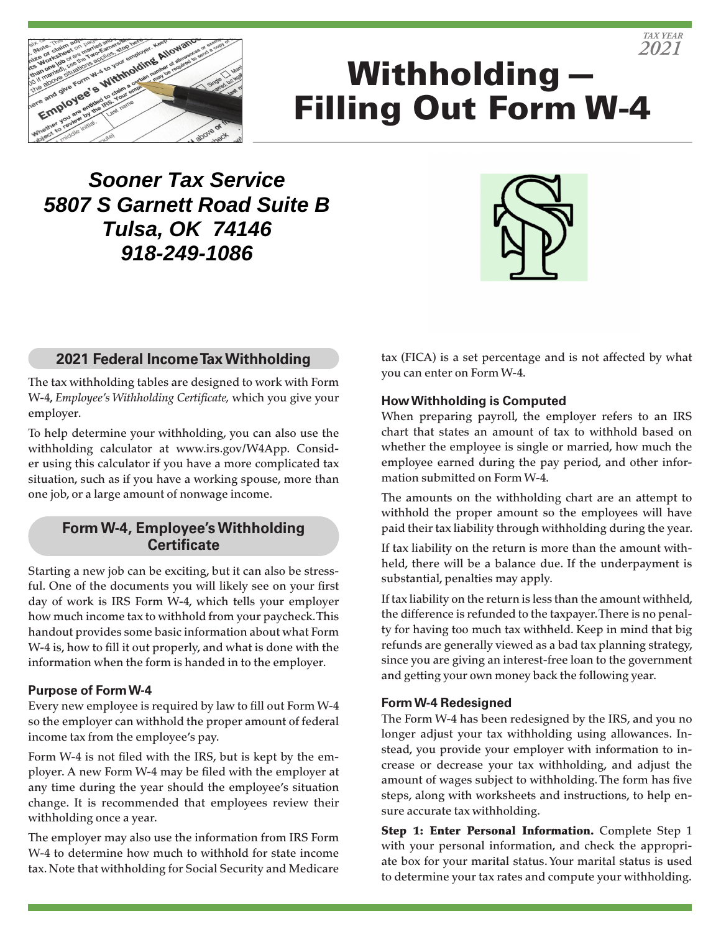

# Withholding— Filling Out Form W-4

**Sooner Tax Service 5807 S Garnett Road Suite B Tulsa, OK 74146 918-249-1086**



# **2021 Federal Income Tax Withholding**

The tax withholding tables are designed to work with Form W-4, *Employee's Withholding Certificate,* which you give your employer.

To help determine your withholding, you can also use the withholding calculator at www.irs.gov/W4App. Consider using this calculator if you have a more complicated tax situation, such as if you have a working spouse, more than one job, or a large amount of nonwage income.

# **Form W-4, Employee's Withholding Certificate**

Starting a new job can be exciting, but it can also be stressful. One of the documents you will likely see on your first day of work is IRS Form W-4, which tells your employer how much income tax to withhold from your paycheck. This handout provides some basic information about what Form W-4 is, how to fill it out properly, and what is done with the information when the form is handed in to the employer.

#### **Purpose of Form W-4**

Every new employee is required by law to fill out Form W-4 so the employer can withhold the proper amount of federal income tax from the employee's pay.

Form W-4 is not filed with the IRS, but is kept by the employer. A new Form W-4 may be filed with the employer at any time during the year should the employee's situation change. It is recommended that employees review their withholding once a year.

The employer may also use the information from IRS Form W-4 to determine how much to withhold for state income tax. Note that withholding for Social Security and Medicare tax (FICA) is a set percentage and is not affected by what you can enter on Form W-4.

#### **How Withholding is Computed**

When preparing payroll, the employer refers to an IRS chart that states an amount of tax to withhold based on whether the employee is single or married, how much the employee earned during the pay period, and other information submitted on Form W-4.

The amounts on the withholding chart are an attempt to withhold the proper amount so the employees will have paid their tax liability through withholding during the year.

If tax liability on the return is more than the amount withheld, there will be a balance due. If the underpayment is substantial, penalties may apply.

If tax liability on the return is less than the amount withheld, the difference is refunded to the taxpayer. There is no penalty for having too much tax withheld. Keep in mind that big refunds are generally viewed as a bad tax planning strategy, since you are giving an interest-free loan to the government and getting your own money back the following year.

#### **Form W-4 Redesigned**

The Form W-4 has been redesigned by the IRS, and you no longer adjust your tax withholding using allowances. Instead, you provide your employer with information to increase or decrease your tax withholding, and adjust the amount of wages subject to withholding. The form has five steps, along with worksheets and instructions, to help ensure accurate tax withholding.

Step 1: Enter Personal Information. Complete Step 1 with your personal information, and check the appropriate box for your marital status. Your marital status is used to determine your tax rates and compute your withholding.

*TAX YEAR 2021*